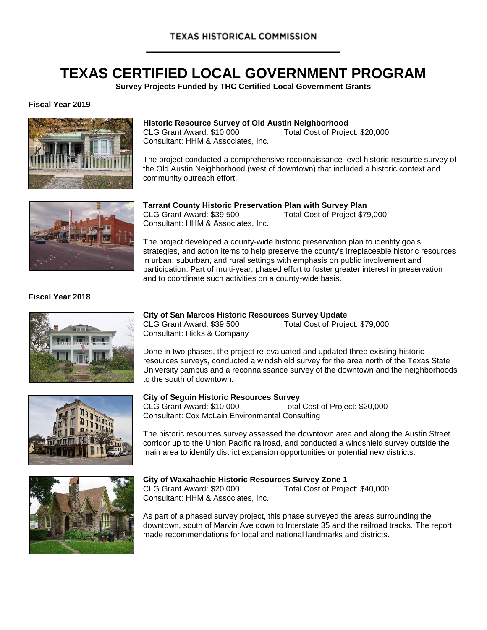## **TEXAS CERTIFIED LOCAL GOVERNMENT PROGRAM**

**Survey Projects Funded by THC Certified Local Government Grants**

**Fiscal Year 2019**



#### **Historic Resource Survey of Old Austin Neighborhood**

CLG Grant Award: \$10,000 Total Cost of Project: \$20,000 Consultant: HHM & Associates, Inc.

The project conducted a comprehensive reconnaissance-level historic resource survey of the Old Austin Neighborhood (west of downtown) that included a historic context and community outreach effort.



**Tarrant County Historic Preservation Plan with Survey Plan** CLG Grant Award: \$39,500 Total Cost of Project \$79,000 Consultant: HHM & Associates, Inc.

The project developed a county-wide historic preservation plan to identify goals, strategies, and action items to help preserve the county's irreplaceable historic resources in urban, suburban, and rural settings with emphasis on public involvement and participation. Part of multi-year, phased effort to foster greater interest in preservation and to coordinate such activities on a county-wide basis.

**Fiscal Year 2018**



## **City of San Marcos Historic Resources Survey Update**

Total Cost of Project: \$79,000 Consultant: Hicks & Company

Done in two phases, the project re-evaluated and updated three existing historic resources surveys, conducted a windshield survey for the area north of the Texas State University campus and a reconnaissance survey of the downtown and the neighborhoods to the south of downtown.



**City of Seguin Historic Resources Survey**  CLG Grant Award: \$10,000 Consultant: Cox McLain Environmental Consulting

The historic resources survey assessed the downtown area and along the Austin Street corridor up to the Union Pacific railroad, and conducted a windshield survey outside the main area to identify district expansion opportunities or potential new districts.



#### **City of Waxahachie Historic Resources Survey Zone 1**

CLG Grant Award: \$20,000 Total Cost of Project: \$40,000 Consultant: HHM & Associates, Inc.

As part of a phased survey project, this phase surveyed the areas surrounding the downtown, south of Marvin Ave down to Interstate 35 and the railroad tracks. The report made recommendations for local and national landmarks and districts.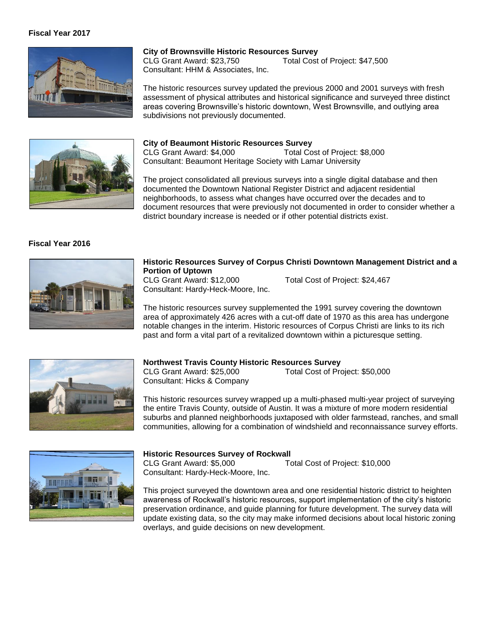

#### **City of Brownsville Historic Resources Survey** CLG Grant Award: \$23,750 Total Cost of Project: \$47,500 Consultant: HHM & Associates, Inc.

The historic resources survey updated the previous 2000 and 2001 surveys with fresh assessment of physical attributes and historical significance and surveyed three distinct areas covering Brownsville's historic downtown, West Brownsville, and outlying area

#### **City of Beaumont Historic Resources Survey**

subdivisions not previously documented.

CLG Grant Award: \$4,000 Total Cost of Project: \$8,000 Consultant: Beaumont Heritage Society with Lamar University

The project consolidated all previous surveys into a single digital database and then documented the Downtown National Register District and adjacent residential neighborhoods, to assess what changes have occurred over the decades and to document resources that were previously not documented in order to consider whether a district boundary increase is needed or if other potential districts exist.

#### **Fiscal Year 2016**



### **Historic Resources Survey of Corpus Christi Downtown Management District and a Portion of Uptown**<br>CLG Grant Award: \$12,000

Consultant: Hardy-Heck-Moore, Inc.

Total Cost of Project: \$24,467

The historic resources survey supplemented the 1991 survey covering the downtown area of approximately 426 acres with a cut-off date of 1970 as this area has undergone notable changes in the interim. Historic resources of Corpus Christi are links to its rich past and form a vital part of a revitalized downtown within a picturesque setting.



#### **Northwest Travis County Historic Resources Survey**

CLG Grant Award: \$25,000 Total Cost of Project: \$50,000 Consultant: Hicks & Company

This historic resources survey wrapped up a multi-phased multi-year project of surveying the entire Travis County, outside of Austin. It was a mixture of more modern residential suburbs and planned neighborhoods juxtaposed with older farmstead, ranches, and small communities, allowing for a combination of windshield and reconnaissance survey efforts.



#### **Historic Resources Survey of Rockwall**

CLG Grant Award: \$5,000 Total Cost of Project: \$10,000 Consultant: Hardy-Heck-Moore, Inc.

This project surveyed the downtown area and one residential historic district to heighten awareness of Rockwall's historic resources, support implementation of the city's historic preservation ordinance, and guide planning for future development. The survey data will update existing data, so the city may make informed decisions about local historic zoning overlays, and guide decisions on new development.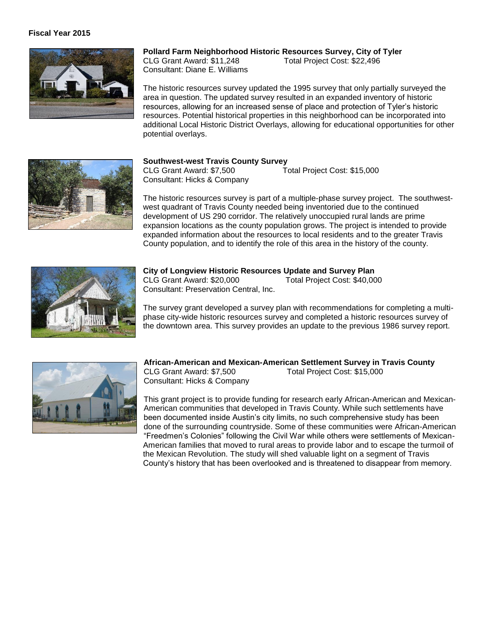

**Pollard Farm Neighborhood Historic Resources Survey, City of Tyler** CLG Grant Award: \$11,248 Total Project Cost: \$22,496 Consultant: Diane E. Williams

The historic resources survey updated the 1995 survey that only partially surveyed the area in question. The updated survey resulted in an expanded inventory of historic resources, allowing for an increased sense of place and protection of Tyler's historic resources. Potential historical properties in this neighborhood can be incorporated into additional Local Historic District Overlays, allowing for educational opportunities for other potential overlays.



#### **Southwest-west Travis County Survey**

CLG Grant Award: \$7,500 Total Project Cost: \$15,000 Consultant: Hicks & Company

The historic resources survey is part of a multiple-phase survey project. The southwestwest quadrant of Travis County needed being inventoried due to the continued development of US 290 corridor. The relatively unoccupied rural lands are prime expansion locations as the county population grows. The project is intended to provide expanded information about the resources to local residents and to the greater Travis County population, and to identify the role of this area in the history of the county.



#### **City of Longview Historic Resources Update and Survey Plan**

CLG Grant Award: \$20,000 Total Project Cost: \$40,000 Consultant: Preservation Central, Inc.

The survey grant developed a survey plan with recommendations for completing a multiphase city-wide historic resources survey and completed a historic resources survey of the downtown area. This survey provides an update to the previous 1986 survey report.



#### **African-American and Mexican-American Settlement Survey in Travis County** CLG Grant Award: \$7,500 Total Project Cost: \$15,000

Consultant: Hicks & Company This grant project is to provide funding for research early African-American and Mexican-

American communities that developed in Travis County. While such settlements have been documented inside Austin's city limits, no such comprehensive study has been done of the surrounding countryside. Some of these communities were African-American "Freedmen's Colonies" following the Civil War while others were settlements of Mexican-American families that moved to rural areas to provide labor and to escape the turmoil of the Mexican Revolution. The study will shed valuable light on a segment of Travis County's history that has been overlooked and is threatened to disappear from memory.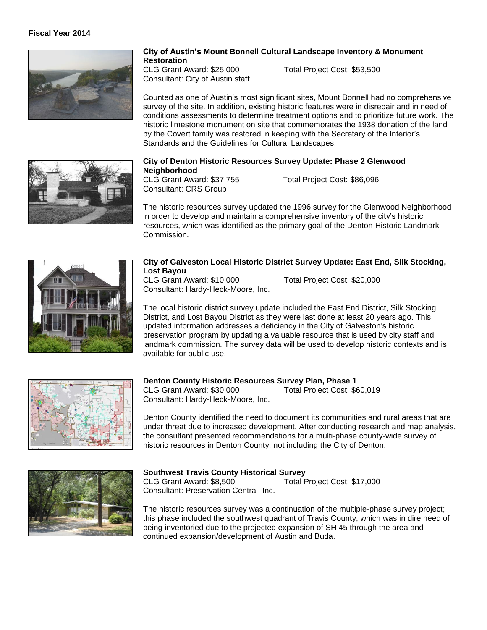

#### **City of Austin's Mount Bonnell Cultural Landscape Inventory & Monument Restoration**

CLG Grant Award: \$25,000 Total Project Cost: \$53,500 Consultant: City of Austin staff

Counted as one of Austin's most significant sites, Mount Bonnell had no comprehensive survey of the site. In addition, existing historic features were in disrepair and in need of conditions assessments to determine treatment options and to prioritize future work. The historic limestone monument on site that commemorates the 1938 donation of the land by the Covert family was restored in keeping with the Secretary of the Interior's Standards and the Guidelines for Cultural Landscapes.



#### **City of Denton Historic Resources Survey Update: Phase 2 Glenwood Neighborhood**

CLG Grant Award: \$37,755 Total Project Cost: \$86,096 Consultant: CRS Group

The historic resources survey updated the 1996 survey for the Glenwood Neighborhood in order to develop and maintain a comprehensive inventory of the city's historic resources, which was identified as the primary goal of the Denton Historic Landmark Commission.



#### **City of Galveston Local Historic District Survey Update: East End, Silk Stocking, Lost Bayou**

CLG Grant Award: \$10,000 Total Project Cost: \$20,000 Consultant: Hardy-Heck-Moore, Inc.

The local historic district survey update included the East End District, Silk Stocking District, and Lost Bayou District as they were last done at least 20 years ago. This updated information addresses a deficiency in the City of Galveston's historic preservation program by updating a valuable resource that is used by city staff and landmark commission. The survey data will be used to develop historic contexts and is available for public use.



# **Denton County Historic Resources Survey Plan, Phase 1**

Total Project Cost: \$60,019 Consultant: Hardy-Heck-Moore, Inc.

Denton County identified the need to document its communities and rural areas that are under threat due to increased development. After conducting research and map analysis, the consultant presented recommendations for a multi-phase county-wide survey of historic resources in Denton County, not including the City of Denton.



#### **Southwest Travis County Historical Survey**

CLG Grant Award: \$8,500 Total Project Cost: \$17,000 Consultant: Preservation Central, Inc.

The historic resources survey was a continuation of the multiple-phase survey project; this phase included the southwest quadrant of Travis County, which was in dire need of being inventoried due to the projected expansion of SH 45 through the area and continued expansion/development of Austin and Buda.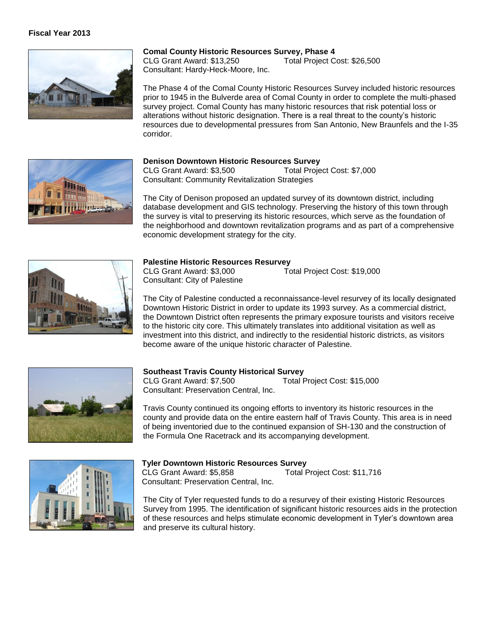

#### **Comal County Historic Resources Survey, Phase 4**

CLG Grant Award: \$13,250 Total Project Cost: \$26,500 Consultant: Hardy-Heck-Moore, Inc.

The Phase 4 of the Comal County Historic Resources Survey included historic resources prior to 1945 in the Bulverde area of Comal County in order to complete the multi-phased survey project. Comal County has many historic resources that risk potential loss or alterations without historic designation. There is a real threat to the county's historic resources due to developmental pressures from San Antonio, New Braunfels and the I-35 corridor.



#### **Denison Downtown Historic Resources Survey**

CLG Grant Award: \$3,500 Total Project Cost: \$7,000 Consultant: Community Revitalization Strategies

The City of Denison proposed an updated survey of its downtown district, including database development and GIS technology. Preserving the history of this town through the survey is vital to preserving its historic resources, which serve as the foundation of the neighborhood and downtown revitalization programs and as part of a comprehensive economic development strategy for the city.



#### **Palestine Historic Resources Resurvey**

CLG Grant Award: \$3,000 Total Project Cost: \$19,000 Consultant: City of Palestine

The City of Palestine conducted a reconnaissance-level resurvey of its locally designated Downtown Historic District in order to update its 1993 survey. As a commercial district, the Downtown District often represents the primary exposure tourists and visitors receive to the historic city core. This ultimately translates into additional visitation as well as investment into this district, and indirectly to the residential historic districts, as visitors become aware of the unique historic character of Palestine.



#### **Southeast Travis County Historical Survey**

CLG Grant Award: \$7,500 Total Project Cost: \$15,000 Consultant: Preservation Central, Inc.

Travis County continued its ongoing efforts to inventory its historic resources in the county and provide data on the entire eastern half of Travis County. This area is in need of being inventoried due to the continued expansion of SH-130 and the construction of the Formula One Racetrack and its accompanying development.



#### **Tyler Downtown Historic Resources Survey**

CLG Grant Award: \$5,858 Total Project Cost: \$11,716 Consultant: Preservation Central, Inc.

The City of Tyler requested funds to do a resurvey of their existing Historic Resources Survey from 1995. The identification of significant historic resources aids in the protection of these resources and helps stimulate economic development in Tyler's downtown area and preserve its cultural history.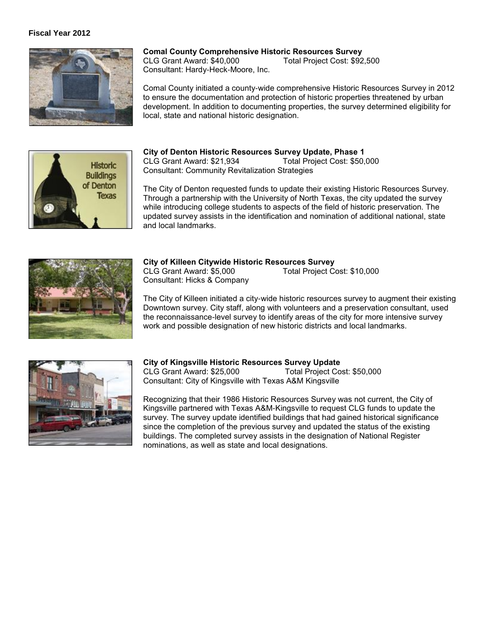

**Comal County Comprehensive Historic Resources Survey** CLG Grant Award: \$40,000 Total Project Cost: \$92,500 Consultant: Hardy-Heck-Moore, Inc.

Comal County initiated a county-wide comprehensive Historic Resources Survey in 2012 to ensure the documentation and protection of historic properties threatened by urban development. In addition to documenting properties, the survey determined eligibility for local, state and national historic designation.



#### **City of Denton Historic Resources Survey Update, Phase 1** CLG Grant Award: \$21,934 Total Project Cost: \$50,000 Consultant: Community Revitalization Strategies

The City of Denton requested funds to update their existing Historic Resources Survey. Through a partnership with the University of North Texas, the city updated the survey while introducing college students to aspects of the field of historic preservation. The updated survey assists in the identification and nomination of additional national, state and local landmarks.



#### **City of Killeen Citywide Historic Resources Survey**

CLG Grant Award: \$5,000 Total Project Cost: \$10,000 Consultant: Hicks & Company

The City of Killeen initiated a city-wide historic resources survey to augment their existing Downtown survey. City staff, along with volunteers and a preservation consultant, used the reconnaissance-level survey to identify areas of the city for more intensive survey work and possible designation of new historic districts and local landmarks.



#### **City of Kingsville Historic Resources Survey Update**

CLG Grant Award: \$25,000 Total Project Cost: \$50,000 Consultant: City of Kingsville with Texas A&M Kingsville

Recognizing that their 1986 Historic Resources Survey was not current, the City of Kingsville partnered with Texas A&M-Kingsville to request CLG funds to update the survey. The survey update identified buildings that had gained historical significance since the completion of the previous survey and updated the status of the existing buildings. The completed survey assists in the designation of National Register nominations, as well as state and local designations.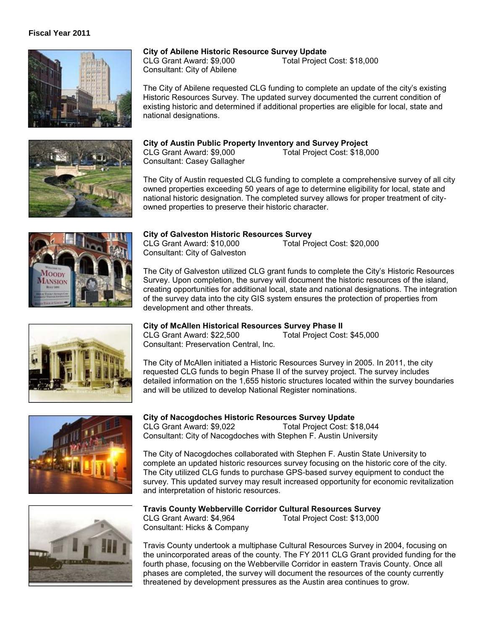

#### **City of Abilene Historic Resource Survey Update**

CLG Grant Award: \$9,000 Total Project Cost: \$18,000 Consultant: City of Abilene

The City of Abilene requested CLG funding to complete an update of the city's existing Historic Resources Survey. The updated survey documented the current condition of existing historic and determined if additional properties are eligible for local, state and national designations.

### **City of Austin Public Property Inventory and Survey Project**

CLG Grant Award: \$9,000 Total Project Cost: \$18,000 Consultant: Casey Gallagher

The City of Austin requested CLG funding to complete a comprehensive survey of all city owned properties exceeding 50 years of age to determine eligibility for local, state and national historic designation. The completed survey allows for proper treatment of cityowned properties to preserve their historic character.



#### **City of Galveston Historic Resources Survey**

CLG Grant Award: \$10,000 Total Project Cost: \$20,000 Consultant: City of Galveston

The City of Galveston utilized CLG grant funds to complete the City's Historic Resources Survey. Upon completion, the survey will document the historic resources of the island, creating opportunities for additional local, state and national designations. The integration of the survey data into the city GIS system ensures the protection of properties from development and other threats.



#### **City of McAllen Historical Resources Survey Phase II**

CLG Grant Award: \$22,500 Total Project Cost: \$45,000 Consultant: Preservation Central, Inc.

The City of McAllen initiated a Historic Resources Survey in 2005. In 2011, the city requested CLG funds to begin Phase II of the survey project. The survey includes detailed information on the 1,655 historic structures located within the survey boundaries and will be utilized to develop National Register nominations.



### **City of Nacogdoches Historic Resources Survey Update** CLG Grant Award: \$9,022 Total Project Cost: \$18,044

Consultant: City of Nacogdoches with Stephen F. Austin University

The City of Nacogdoches collaborated with Stephen F. Austin State University to complete an updated historic resources survey focusing on the historic core of the city. The City utilized CLG funds to purchase GPS-based survey equipment to conduct the survey. This updated survey may result increased opportunity for economic revitalization and interpretation of historic resources.



#### **Travis County Webberville Corridor Cultural Resources Survey**

CLG Grant Award: \$4,964 Total Project Cost: \$13,000 Consultant: Hicks & Company

Travis County undertook a multiphase Cultural Resources Survey in 2004, focusing on the unincorporated areas of the county. The FY 2011 CLG Grant provided funding for the fourth phase, focusing on the Webberville Corridor in eastern Travis County. Once all phases are completed, the survey will document the resources of the county currently threatened by development pressures as the Austin area continues to grow.